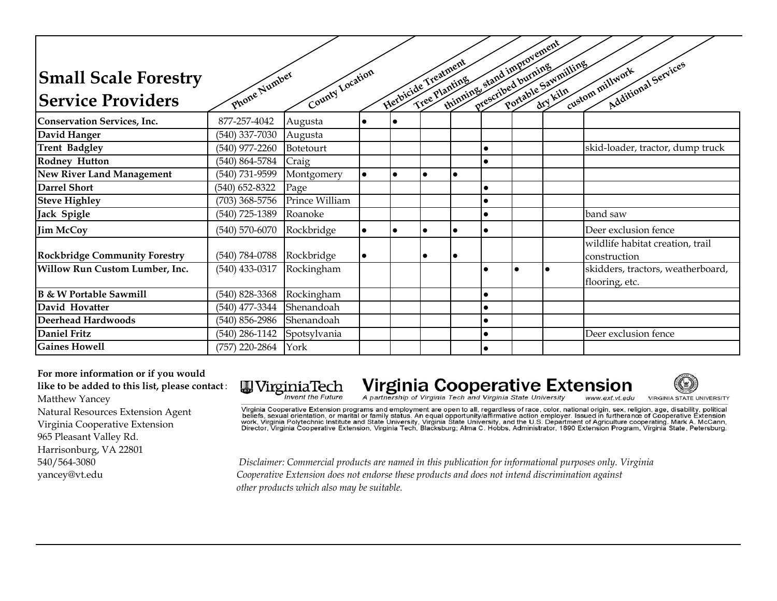| <b>Small Scale Forestry</b>          | Enone Number       | County Location |           | Herbicide Treatment | Tree Planting |           |           | thinning, stand improvement<br>Portable Sawmilling | Additional Services<br>custom millwork              |
|--------------------------------------|--------------------|-----------------|-----------|---------------------|---------------|-----------|-----------|----------------------------------------------------|-----------------------------------------------------|
| <b>Service Providers</b>             |                    |                 |           |                     |               |           |           |                                                    |                                                     |
| Conservation Services, Inc.          | 877-257-4042       | Augusta         |           |                     |               |           |           |                                                    |                                                     |
| David Hanger                         | $(540)$ 337-7030   | Augusta         |           |                     |               |           |           |                                                    |                                                     |
| <b>Trent Badgley</b>                 | $(540)$ 977-2260   | Botetourt       |           |                     |               |           | $\bullet$ |                                                    | skid-loader, tractor, dump truck                    |
| <b>Rodney Hutton</b>                 | (540) 864-5784     | Craig           |           |                     |               |           | $\bullet$ |                                                    |                                                     |
| <b>New River Land Management</b>     | (540) 731-9599     | Montgomery      | $\bullet$ | $\bullet$           | $\bullet$     | $\bullet$ |           |                                                    |                                                     |
| <b>Darrel Short</b>                  | $(540)$ 652-8322   | Page            |           |                     |               |           | $\bullet$ |                                                    |                                                     |
| <b>Steve Highley</b>                 | $(703)$ 368-5756   | Prince William  |           |                     |               |           | $\bullet$ |                                                    |                                                     |
| Jack Spigle                          | $(540)$ 725-1389   | Roanoke         |           |                     |               |           | $\bullet$ |                                                    | band saw                                            |
| <b>Jim McCoy</b>                     | $(540)$ 570-6070   | Rockbridge      | $\bullet$ |                     |               | $\bullet$ | $\bullet$ |                                                    | Deer exclusion fence                                |
| <b>Rockbridge Community Forestry</b> | $(540) 784 - 0788$ | Rockbridge      | $\bullet$ |                     |               | $\bullet$ |           |                                                    | wildlife habitat creation, trail<br>construction    |
| Willow Run Custom Lumber, Inc.       | $(540)$ 433-0317   | Rockingham      |           |                     |               |           | $\bullet$ |                                                    | skidders, tractors, weatherboard,<br>flooring, etc. |
| <b>B</b> & W Portable Sawmill        | $(540)$ 828-3368   | Rockingham      |           |                     |               |           | $\bullet$ |                                                    |                                                     |
| David Hovatter                       | (540) 477-3344     | Shenandoah      |           |                     |               |           | $\bullet$ |                                                    |                                                     |
| <b>Deerhead Hardwoods</b>            | $(540)$ 856-2986   | Shenandoah      |           |                     |               |           | $\bullet$ |                                                    |                                                     |
| <b>Daniel Fritz</b>                  | $(540)$ 286-1142   | Spotsylvania    |           |                     |               |           | $\bullet$ |                                                    | Deer exclusion fence                                |
| <b>Gaines Howell</b>                 | (757) 220-2864     | York            |           |                     |               |           | $\bullet$ |                                                    |                                                     |

**For more information or if you would like to be added to this list, please contact**: Matthew Yancey Natural Resources Extension Agent Virginia Cooperative Extension 965 Pleasant Valley Rd. Harrisonburg, VA 22801

## **W**VirginiaTech Invent the Future

## Virginia Cooperative Extension

**VIRGINIA STATE UNIVERSITY** 



Virginia Cooperative Extension programs and employment are open to all, regardless of race, color, national origin, sex, religion, age, disability, political<br>beliefs, sexual orientation, or marital or family status. An equ

540/564-3080 *Disclaimer: Commercial products are named in this publication for informational purposes only. Virginia*  yancey@vt.edu *Cooperative Extension does not endorse these products and does not intend discrimination against other products which also may be suitable.*